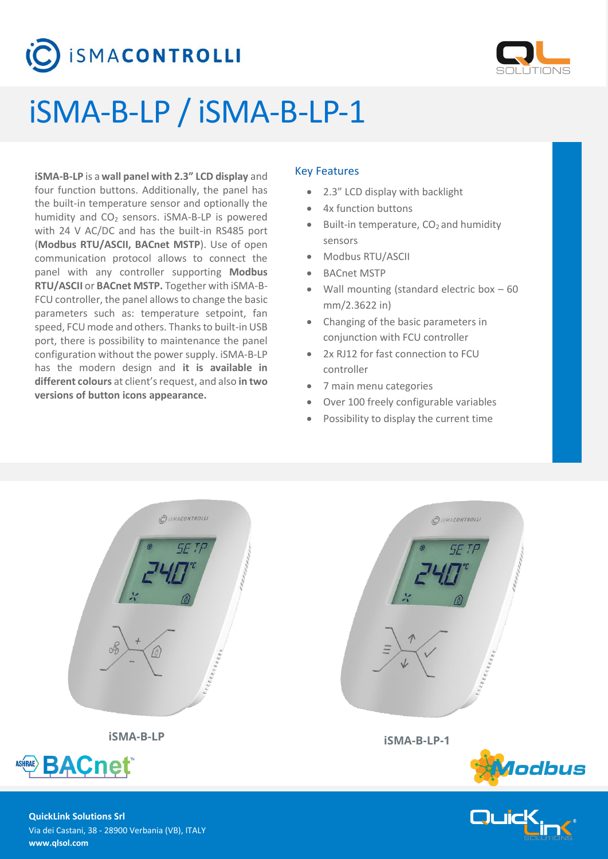# **SMACONTROLLI**



# iSMA-B-LP / iSMA-B-LP-1

**iSMA-B-LP** is a **wall panel with 2.3" LCD display** and four function buttons. Additionally, the panel has the built-in temperature sensor and optionally the humidity and  $CO<sub>2</sub>$  sensors. iSMA-B-LP is powered with 24 V AC/DC and has the built-in RS485 port (**Modbus RTU/ASCII, BACnet MSTP**). Use of open communication protocol allows to connect the panel with any controller supporting **Modbus RTU/ASCII** or **BACnet MSTP.** Together with iSMA-B-FCU controller, the panel allows to change the basic parameters such as: temperature setpoint, fan speed, FCU mode and others. Thanks to built-in USB port, there is possibility to maintenance the panel configuration without the power supply. iSMA-B-LP has the modern design and **it is available in different colours** at client's request, and also **in two versions of button icons appearance.**

## Key Features

- 2.3" LCD display with backlight
- 4x function buttons
- Built-in temperature,  $CO<sub>2</sub>$  and humidity sensors
- Modbus RTU/ASCII
- BACnet MSTP
- Wall mounting (standard electric box 60 mm/2.3622 in)
- Changing of the basic parameters in conjunction with FCU controller
- 2x RJ12 for fast connection to FCU controller
- 7 main menu categories
- Over 100 freely configurable variables
- Possibility to display the current time







**QuickLink Solutions Srl** Via dei Castani, 38 - 28900 Verbania (VB), ITALY **www.qlsol.com**

**BACnet**